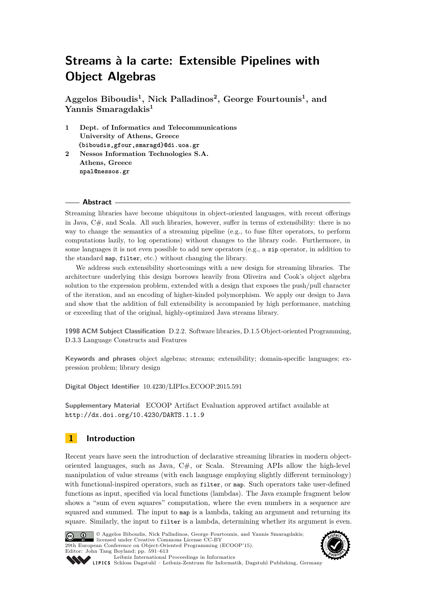**Aggelos Biboudis<sup>1</sup> , Nick Palladinos<sup>2</sup> , George Fourtounis<sup>1</sup> , and Yannis Smaragdakis<sup>1</sup>**

- **1 Dept. of Informatics and Telecommunications University of Athens, Greece {biboudis,gfour,smaragd}@di.uoa.gr**
- **2 Nessos Information Technologies S.A. Athens, Greece npal@nessos.gr**

#### **Abstract**

Streaming libraries have become ubiquitous in object-oriented languages, with recent offerings in Java, C#, and Scala. All such libraries, however, suffer in terms of extensibility: there is no way to change the semantics of a streaming pipeline (e.g., to fuse filter operators, to perform computations lazily, to log operations) without changes to the library code. Furthermore, in some languages it is not even possible to add new operators (e.g., a zip operator, in addition to the standard map, filter, etc.) without changing the library.

We address such extensibility shortcomings with a new design for streaming libraries. The architecture underlying this design borrows heavily from Oliveira and Cook's object algebra solution to the expression problem, extended with a design that exposes the push/pull character of the iteration, and an encoding of higher-kinded polymorphism. We apply our design to Java and show that the addition of full extensibility is accompanied by high performance, matching or exceeding that of the original, highly-optimized Java streams library.

**1998 ACM Subject Classification** D.2.2. Software libraries, D.1.5 Object-oriented Programming, D.3.3 Language Constructs and Features

**Keywords and phrases** object algebras; streams; extensibility; domain-specific languages; expression problem; library design

**Digital Object Identifier** [10.4230/LIPIcs.ECOOP.2015.591](http://dx.doi.org/10.4230/LIPIcs.ECOOP.2015.591)

**Supplementary Material** ECOOP Artifact Evaluation approved artifact available at <http://dx.doi.org/10.4230/DARTS.1.1.9>

# **1 Introduction**

Recent years have seen the introduction of declarative streaming libraries in modern objectoriented languages, such as Java,  $C#$ , or Scala. Streaming APIs allow the high-level manipulation of value streams (with each language employing slightly different terminology) with functional-inspired operators, such as filter, or map. Such operators take user-defined functions as input, specified via local functions (lambdas). The Java example fragment below shows a "sum of even squares" computation, where the even numbers in a sequence are squared and summed. The input to map is a lambda, taking an argument and returning its square. Similarly, the input to filter is a lambda, determining whether its argument is even.



© Aggelos Biboudis, Nick Palladinos, George Fourtounis, and Yannis Smaragdakis; licensed under Creative Commons License CC-BY 29th European Conference on Object-Oriented Programming (ECOOP'15). Editor: John Tang Boyland; pp. 591[–613](#page-22-0) [Leibniz International Proceedings in Informatics](http://www.dagstuhl.de/lipics/)



SCHLOSS Dagstuhl – Leibniz-Zentrum für Informatik, Dagstuhl Publishing, Germany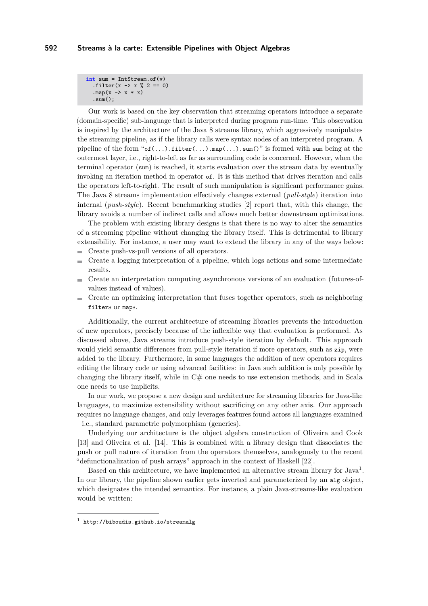```
int sum = IntStrean.of(v).filter(x -> x \frac{9}{2} == 0)
  .map(x \rightarrow x * x)
  .sum():
```
Our work is based on the key observation that streaming operators introduce a separate (domain-specific) sub-language that is interpreted during program run-time. This observation is inspired by the architecture of the Java 8 streams library, which aggressively manipulates the streaming pipeline, as if the library calls were syntax nodes of an interpreted program. A pipeline of the form " $of(\ldots)$ .filter( $\ldots$ ).map( $\ldots$ ).sum()" is formed with sum being at the outermost layer, i.e., right-to-left as far as surrounding code is concerned. However, when the terminal operator (sum) is reached, it starts evaluation over the stream data by eventually invoking an iteration method in operator of. It is this method that drives iteration and calls the operators left-to-right. The result of such manipulation is significant performance gains. The Java 8 streams implementation effectively changes external (*pull-style*) iteration into internal (*push-style*). Recent benchmarking studies [\[2\]](#page-21-0) report that, with this change, the library avoids a number of indirect calls and allows much better downstream optimizations.

The problem with existing library designs is that there is no way to alter the semantics of a streaming pipeline without changing the library itself. This is detrimental to library extensibility. For instance, a user may want to extend the library in any of the ways below:

- Create push-vs-pull versions of all operators. m.
- Create a logging interpretation of a pipeline, which logs actions and some intermediate  $\equiv$ results.
- Create an interpretation computing asynchronous versions of an evaluation (futures-of- $\equiv$ values instead of values).
- Create an optimizing interpretation that fuses together operators, such as neighboring filters or maps.

Additionally, the current architecture of streaming libraries prevents the introduction of new operators, precisely because of the inflexible way that evaluation is performed. As discussed above, Java streams introduce push-style iteration by default. This approach would yield semantic differences from pull-style iteration if more operators, such as zip, were added to the library. Furthermore, in some languages the addition of new operators requires editing the library code or using advanced facilities: in Java such addition is only possible by changing the library itself, while in  $C#$  one needs to use extension methods, and in Scala one needs to use implicits.

In our work, we propose a new design and architecture for streaming libraries for Java-like languages, to maximize extensibility without sacrificing on any other axis. Our approach requires no language changes, and only leverages features found across all languages examined – i.e., standard parametric polymorphism (generics).

Underlying our architecture is the object algebra construction of Oliveira and Cook [\[13\]](#page-21-1) and Oliveira et al. [\[14\]](#page-21-2). This is combined with a library design that dissociates the push or pull nature of iteration from the operators themselves, analogously to the recent "defunctionalization of push arrays" approach in the context of Haskell [\[22\]](#page-22-1).

Based on this architecture, we have implemented an alternative stream library for Java<sup>[1](#page-1-0)</sup>. In our library, the pipeline shown earlier gets inverted and parameterized by an alg object, which designates the intended semantics. For instance, a plain Java-streams-like evaluation would be written:

<span id="page-1-0"></span> $^1$  <http://biboudis.github.io/streamalg>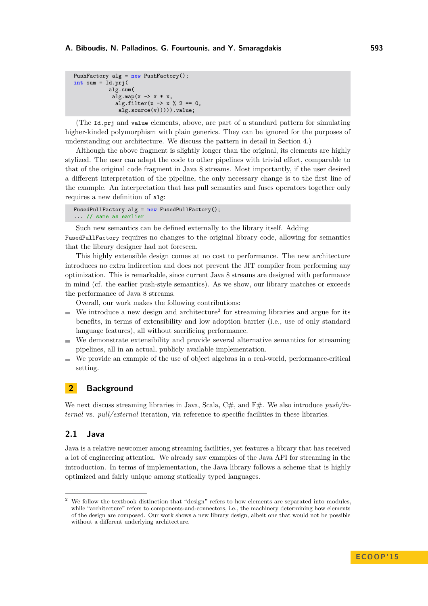```
PushFactory alg = new PushFactory();
int sum = Id.pyj(
            alg.sum(
             alg.map(x \rightarrow x * x,
              alg.filter(x -> x \frac{9}{6} 2 == 0,
                alg.source(v))))).value;
```
(The Id.prj and value elements, above, are part of a standard pattern for simulating higher-kinded polymorphism with plain generics. They can be ignored for the purposes of understanding our architecture. We discuss the pattern in detail in Section [4.](#page-11-0))

Although the above fragment is slightly longer than the original, its elements are highly stylized. The user can adapt the code to other pipelines with trivial effort, comparable to that of the original code fragment in Java 8 streams. Most importantly, if the user desired a different interpretation of the pipeline, the only necessary change is to the first line of the example. An interpretation that has pull semantics and fuses operators together only requires a new definition of alg:

```
FusedPullFactory alg = new FusedPullFactory();
... // same as earlier
```
Such new semantics can be defined externally to the library itself. Adding

FusedPullFactory requires no changes to the original library code, allowing for semantics that the library designer had not foreseen.

This highly extensible design comes at no cost to performance. The new architecture introduces no extra indirection and does not prevent the JIT compiler from performing any optimization. This is remarkable, since current Java 8 streams are designed with performance in mind (cf. the earlier push-style semantics). As we show, our library matches or exceeds the performance of Java 8 streams.

Overall, our work makes the following contributions:

- We introduce a new design and architecture<sup>[2](#page-2-0)</sup> for streaming libraries and argue for its benefits, in terms of extensibility and low adoption barrier (i.e., use of only standard language features), all without sacrificing performance.
- We demonstrate extensibility and provide several alternative semantics for streaming  $\mathbf{r}$ pipelines, all in an actual, publicly available implementation.
- We provide an example of the use of object algebras in a real-world, performance-critical setting.

## <span id="page-2-1"></span>**2 Background**

We next discuss streaming libraries in Java, Scala, C#, and F#. We also introduce *push/internal* vs. *pull/external* iteration, via reference to specific facilities in these libraries.

## <span id="page-2-2"></span>**2.1 Java**

Java is a relative newcomer among streaming facilities, yet features a library that has received a lot of engineering attention. We already saw examples of the Java API for streaming in the introduction. In terms of implementation, the Java library follows a scheme that is highly optimized and fairly unique among statically typed languages.

<span id="page-2-0"></span>We follow the textbook distinction that "design" refers to how elements are separated into modules, while "architecture" refers to components-and-connectors, i.e., the machinery determining how elements of the design are composed. Our work shows a new library design, albeit one that would not be possible without a different underlying architecture.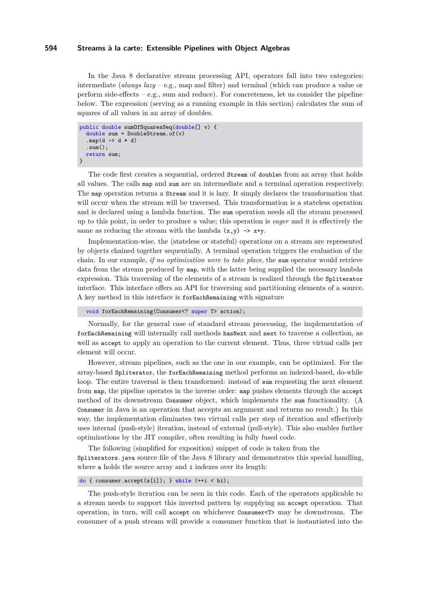In the Java 8 declarative stream processing API, operators fall into two categories: intermediate (*always lazy* – e.g., map and filter) and terminal (which can produce a value or perform side-effects – e.g., sum and reduce). For concreteness, let us consider the pipeline below. The expression (serving as a running example in this section) calculates the sum of squares of all values in an array of doubles.

```
public double sumOfSquaresSeq(double[] v) {
  double sum = DoubleStream.of(v).map(d \rightarrow d * d).sum();
  return sum;
}
```
The code first creates a sequential, ordered Stream of doubles from an array that holds all values. The calls map and sum are an intermediate and a terminal operation respectively. The map operation returns a Stream and it is lazy. It simply declares the transformation that will occur when the stream will be traversed. This transformation is a stateless operation and is declared using a lambda function. The sum operation needs all the stream processed up to this point, in order to produce a value; this operation is *eager* and it is effectively the same as reducing the stream with the lambda  $(x,y) \rightarrow x+y$ .

Implementation-wise, the (stateless or stateful) operations on a stream are represented by objects chained together sequentially. A terminal operation triggers the evaluation of the chain. In our example, *if no optimization were to take place*, the sum operator would retrieve data from the stream produced by map, with the latter being supplied the necessary lambda expression. This traversing of the elements of a stream is realized through the Spliterator interface. This interface offers an API for traversing and partitioning elements of a source. A key method in this interface is forEachRemaining with signature

void forEachRemaining(Consumer<? super T> action);

Normally, for the general case of standard stream processing, the implementation of forEachRemaining will internally call methods hasNext and next to traverse a collection, as well as accept to apply an operation to the current element. Thus, three virtual calls per element will occur.

However, stream pipelines, such as the one in our example, can be optimized. For the array-based Spliterator, the forEachRemaining method performs an indexed-based, do-while loop. The entire traversal is then transformed: instead of sum requesting the next element from map, the pipeline operates in the inverse order: map pushes elements through the accept method of its downstream Consumer object, which implements the sum functionality. (A Consumer in Java is an operation that accepts an argument and returns no result.) In this way, the implementation eliminates two virtual calls per step of iteration and effectively uses internal (push-style) iteration, instead of external (pull-style). This also enables further optimizations by the JIT compiler, often resulting in fully fused code.

The following (simplified for exposition) snippet of code is taken from the Spliterators.java source file of the Java 8 library and demonstrates this special handling, where a holds the source array and i indexes over its length:

do { consumer.accept(a[i]); } while (++i < hi);

The push-style iteration can be seen in this code. Each of the operators applicable to a stream needs to support this inverted pattern by supplying an accept operation. That operation, in turn, will call accept on whichever Consumer<T> may be downstream. The consumer of a push stream will provide a consumer function that is instantiated into the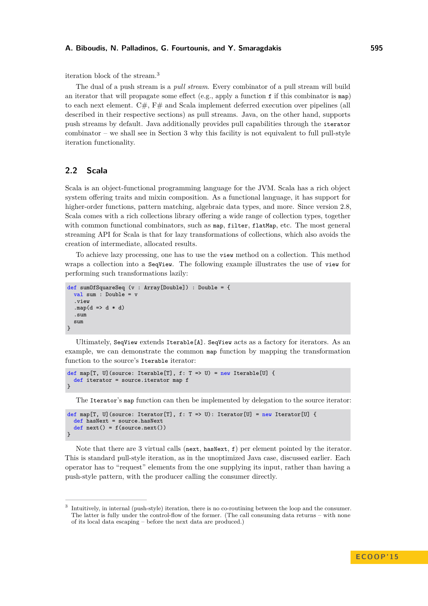#### **A. Biboudis, N. Palladinos, G. Fourtounis, and Y. Smaragdakis 595**

iteration block of the stream.[3](#page-4-0)

The dual of a push stream is a *pull stream*. Every combinator of a pull stream will build an iterator that will propagate some effect (e.g., apply a function  $f$  if this combinator is  $map$ ) to each next element. C#,  $F#$  and Scala implement deferred execution over pipelines (all described in their respective sections) as pull streams. Java, on the other hand, supports push streams by default. Java additionally provides pull capabilities through the iterator  $combinator - we shall see in Section 3 why this facility is not equivalent to full pull-style$  $combinator - we shall see in Section 3 why this facility is not equivalent to full pull-style$  $combinator - we shall see in Section 3 why this facility is not equivalent to full pull-style$ iteration functionality.

## **2.2 Scala**

Scala is an object-functional programming language for the JVM. Scala has a rich object system offering traits and mixin composition. As a functional language, it has support for higher-order functions, pattern matching, algebraic data types, and more. Since version 2.8, Scala comes with a rich collections library offering a wide range of collection types, together with common functional combinators, such as map, filter, flatMap, etc. The most general streaming API for Scala is that for lazy transformations of collections, which also avoids the creation of intermediate, allocated results.

To achieve lazy processing, one has to use the view method on a collection. This method wraps a collection into a SeqView. The following example illustrates the use of view for performing such transformations lazily:

```
def sumOfSquareSeq (v : Array[Double]) : Double = {
  val sum : Double = v
  .view
  .map(d \Rightarrow d * d)
  .sum
  sum
}
```
Ultimately, SeqView extends Iterable[A]. SeqView acts as a factory for iterators. As an example, we can demonstrate the common map function by mapping the transformation function to the source's Iterable iterator:

```
def map[T, U](source: Iterable[T], f: T => U) = new Iterable[U] {
  def iterator = source.iterator map f
}
```
The Iterator's map function can then be implemented by delegation to the source iterator:

```
def map[T, U](source: Iterator[T], f: T => U): Iterator[U] = new Iterator[U] {
  def hasNext = source.hasNext
  def next() = f(source.next())}
```
Note that there are 3 virtual calls (next, hasNext,  $f$ ) per element pointed by the iterator. This is standard pull-style iteration, as in the unoptimized Java case, discussed earlier. Each operator has to "request" elements from the one supplying its input, rather than having a push-style pattern, with the producer calling the consumer directly.

<span id="page-4-0"></span><sup>3</sup> Intuitively, in internal (push-style) iteration, there is no co-routining between the loop and the consumer. The latter is fully under the control-flow of the former. (The call consuming data returns – with none of its local data escaping – before the next data are produced.)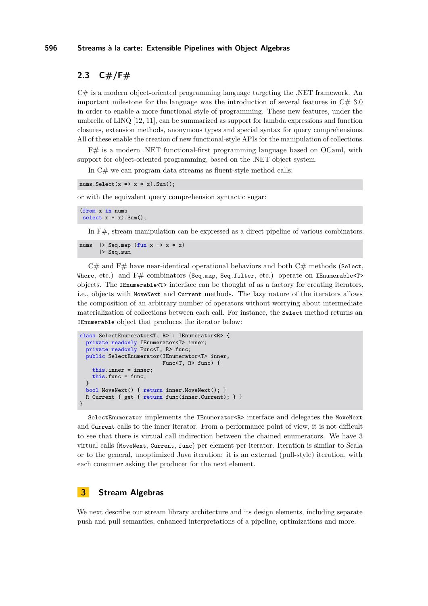# **2.3 C#/F#**

 $C#$  is a modern object-oriented programming language targeting the .NET framework. An important milestone for the language was the introduction of several features in  $C \# 3.0$ in order to enable a more functional style of programming. These new features, under the umbrella of LINQ [\[12,](#page-21-3) [11\]](#page-21-4), can be summarized as support for lambda expressions and function closures, extension methods, anonymous types and special syntax for query comprehensions. All of these enable the creation of new functional-style APIs for the manipulation of collections.

F# is a modern .NET functional-first programming language based on OCaml, with support for object-oriented programming, based on the .NET object system.

In  $C#$  we can program data streams as fluent-style method calls:

```
nums.Select(x \Rightarrow x * x).Sum();
```
or with the equivalent query comprehension syntactic sugar:

```
(from x in nums
select x * x). Sum();
```
In F#, stream manipulation can be expressed as a direct pipeline of various combinators.

```
nums | > Seq.map (fun x \rightarrow x * x)
        |> Seq.sum
```
 $C#$  and  $F#$  have near-identical operational behaviors and both  $C#$  methods (Select, Where, etc.) and  $F#$  combinators (Seq.map, Seq.filter, etc.) operate on IEnumerable<T> objects. The IEnumerable<T> interface can be thought of as a factory for creating iterators, i.e., objects with MoveNext and Current methods. The lazy nature of the iterators allows the composition of an arbitrary number of operators without worrying about intermediate materialization of collections between each call. For instance, the Select method returns an IEnumerable object that produces the iterator below:

```
class SelectEnumerator<T, R> : IEnumerator<R> {
  private readonly IEnumerator<T> inner;
  private readonly Func<T, R> func;
  public SelectEnumerator(IEnumerator<T> inner,
                          Func<T, R> func) {
    this.inner = inner;
    this.func = func:
  }
  bool MoveNext() { return inner.MoveNext(); }
  R Current { get { return func(inner.Current); } }
}
```
SelectEnumerator implements the IEnumerator<R> interface and delegates the MoveNext and Current calls to the inner iterator. From a performance point of view, it is not difficult to see that there is virtual call indirection between the chained enumerators. We have 3 virtual calls (MoveNext, Current, func) per element per iterator. Iteration is similar to Scala or to the general, unoptimized Java iteration: it is an external (pull-style) iteration, with each consumer asking the producer for the next element.

# <span id="page-5-0"></span>**3 Stream Algebras**

We next describe our stream library architecture and its design elements, including separate push and pull semantics, enhanced interpretations of a pipeline, optimizations and more.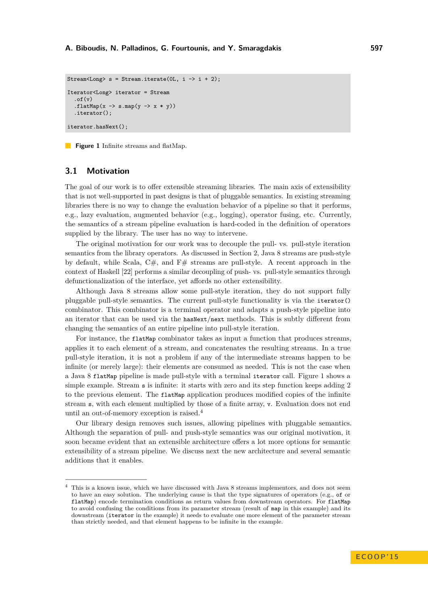```
Stream<Long> s = Stream.iterate(0L, i \rightarrow i + 2);
Iterator<Long> iterator = Stream
  .of(y).flatMap(x \rightarrow s \cdot map(y \rightarrow x * y))
  .iterator();
iterator.hasNext();
```
**Figure 1** Infinite streams and flatMap.

## <span id="page-6-2"></span>**3.1 Motivation**

The goal of our work is to offer extensible streaming libraries. The main axis of extensibility that is not well-supported in past designs is that of pluggable semantics. In existing streaming libraries there is no way to change the evaluation behavior of a pipeline so that it performs, e.g., lazy evaluation, augmented behavior (e.g., logging), operator fusing, etc. Currently, the semantics of a stream pipeline evaluation is hard-coded in the definition of operators supplied by the library. The user has no way to intervene.

The original motivation for our work was to decouple the pull- vs. pull-style iteration semantics from the library operators. As discussed in Section [2,](#page-2-1) Java 8 streams are push-style by default, while Scala,  $C#$ , and  $F#$  streams are pull-style. A recent approach in the context of Haskell [\[22\]](#page-22-1) performs a similar decoupling of push- vs. pull-style semantics through defunctionalization of the interface, yet affords no other extensibility.

Although Java 8 streams allow some pull-style iteration, they do not support fully pluggable pull-style semantics. The current pull-style functionality is via the iterator() combinator. This combinator is a terminal operator and adapts a push-style pipeline into an iterator that can be used via the hasNext/next methods. This is subtly different from changing the semantics of an entire pipeline into pull-style iteration.

For instance, the flatMap combinator takes as input a function that produces streams, applies it to each element of a stream, and concatenates the resulting streams. In a true pull-style iteration, it is not a problem if any of the intermediate streams happen to be infinite (or merely large): their elements are consumed as needed. This is not the case when a Java 8 flatMap pipeline is made pull-style with a terminal iterator call. Figure [1](#page-6-0) shows a simple example. Stream s is infinite: it starts with zero and its step function keeps adding 2 to the previous element. The flatMap application produces modified copies of the infinite stream s, with each element multiplied by those of a finite array, v. Evaluation does not end until an out-of-memory exception is raised.[4](#page-6-1)

Our library design removes such issues, allowing pipelines with pluggable semantics. Although the separation of pull- and push-style semantics was our original motivation, it soon became evident that an extensible architecture offers a lot more options for semantic extensibility of a stream pipeline. We discuss next the new architecture and several semantic additions that it enables.

<span id="page-6-1"></span> $^4\,$  This is a known issue, which we have discussed with Java 8 streams implementors, and does not seem to have an easy solution. The underlying cause is that the type signatures of operators (e.g., of or flatMap) encode termination conditions as return values from downstream operators. For flatMap to avoid confusing the conditions from its parameter stream (result of map in this example) and its downstream (iterator in the example) it needs to evaluate one more element of the parameter stream than strictly needed, and that element happens to be infinite in the example.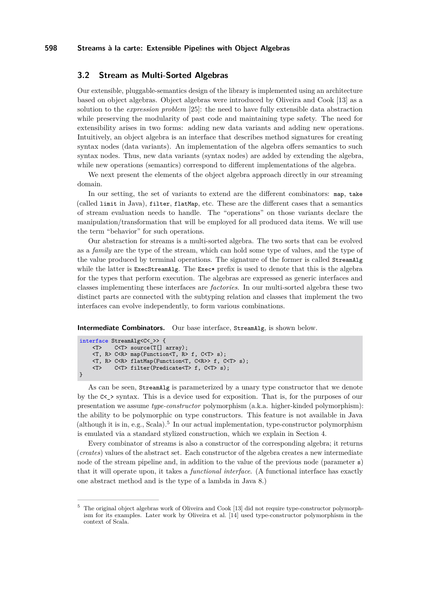## <span id="page-7-1"></span>**3.2 Stream as Multi-Sorted Algebras**

Our extensible, pluggable-semantics design of the library is implemented using an architecture based on object algebras. Object algebras were introduced by Oliveira and Cook [\[13\]](#page-21-1) as a solution to the *expression problem* [\[25\]](#page-22-2): the need to have fully extensible data abstraction while preserving the modularity of past code and maintaining type safety. The need for extensibility arises in two forms: adding new data variants and adding new operations. Intuitively, an object algebra is an interface that describes method signatures for creating syntax nodes (data variants). An implementation of the algebra offers semantics to such syntax nodes. Thus, new data variants (syntax nodes) are added by extending the algebra, while new operations (semantics) correspond to different implementations of the algebra.

We next present the elements of the object algebra approach directly in our streaming domain.

In our setting, the set of variants to extend are the different combinators: map, take (called limit in Java), filter, flatMap, etc. These are the different cases that a semantics of stream evaluation needs to handle. The "operations" on those variants declare the manipulation/transformation that will be employed for all produced data items. We will use the term "behavior" for such operations.

Our abstraction for streams is a multi-sorted algebra. The two sorts that can be evolved as a *family* are the type of the stream, which can hold some type of values, and the type of the value produced by terminal operations. The signature of the former is called StreamAlg while the latter is ExecStreamAlg. The Exec\* prefix is used to denote that this is the algebra for the types that perform execution. The algebras are expressed as generic interfaces and classes implementing these interfaces are *factories*. In our multi-sorted algebra these two distinct parts are connected with the subtyping relation and classes that implement the two interfaces can evolve independently, to form various combinations.

**Intermediate Combinators.** Our base interface, StreamAlg, is shown below.

```
interface StreamAlg<C<_>> {
    <T> C<T> source(T[] array);
    <T, R> C<R> map(Function<T, R> f, C<T> s);
    <T, R> C<R> flatMap(Function<T, C<R>> f, C<T> s);
           C<T> filter(Predicate<T> f, C<T> s);
}
```
As can be seen, StreamAlg is parameterized by a unary type constructor that we denote by the  $C<sub>></sub>$  syntax. This is a device used for exposition. That is, for the purposes of our presentation we assume *type-constructor* polymorphism (a.k.a. higher-kinded polymorphism): the ability to be polymorphic on type constructors. This feature is not available in Java  $(\text{although it is in, e.g., Scala}).$ <sup>[5](#page-7-0)</sup> In our actual implementation, type-constructor polymorphism is emulated via a standard stylized construction, which we explain in Section [4.](#page-11-0)

Every combinator of streams is also a constructor of the corresponding algebra; it returns (*creates*) values of the abstract set. Each constructor of the algebra creates a new intermediate node of the stream pipeline and, in addition to the value of the previous node (parameter s) that it will operate upon, it takes a *functional interface*. (A functional interface has exactly one abstract method and is the type of a lambda in Java 8.)

<span id="page-7-0"></span><sup>5</sup> The original object algebras work of Oliveira and Cook [\[13\]](#page-21-1) did not require type-constructor polymorphism for its examples. Later work by Oliveira et al. [\[14\]](#page-21-2) used type-constructor polymorphism in the context of Scala.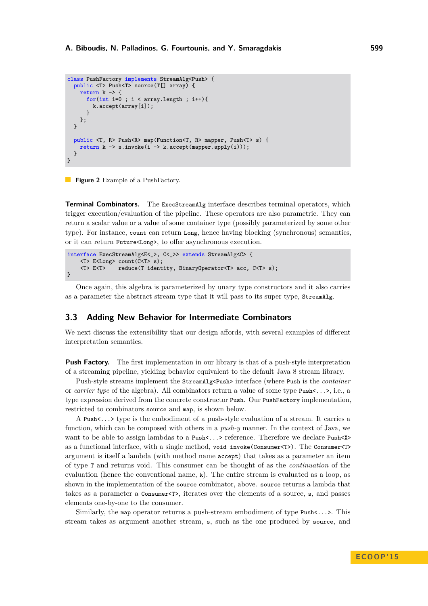```
class PushFactory implements StreamAlg<Push> {
  public <T> Push<T> source(T[] array) {
    return k \rightarrow ffor(int i=0 ; i < \text{array.length} ; i++){
         k.accept(array[i]);
       }
    };
  }
  public <T, R> Push<R> map(Function<T, R> mapper, Push<T> s) {
     return k \rightarrow s.invoke(i \rightarrow k.accept(mapper.append(y(i)));
  }
}
```
**Figure 2** Example of a PushFactory.

**Terminal Combinators.** The ExecStreamAlg interface describes terminal operators, which trigger execution/evaluation of the pipeline. These operators are also parametric. They can return a scalar value or a value of some container type (possibly parameterized by some other type). For instance, count can return Long, hence having blocking (synchronous) semantics, or it can return Future<Long>, to offer asynchronous execution.

```
interface ExecStreamAlg<E<_>, C<_>> extends StreamAlg<C> {
    <T> E<Long> count(C<T> s);
    <T> E<T> reduce(T identity, BinaryOperator<T> acc, C<T> s);
}
```
Once again, this algebra is parameterized by unary type constructors and it also carries as a parameter the abstract stream type that it will pass to its super type, StreamAlg.

#### **3.3 Adding New Behavior for Intermediate Combinators**

We next discuss the extensibility that our design affords, with several examples of different interpretation semantics.

**Push Factory.** The first implementation in our library is that of a push-style interpretation of a streaming pipeline, yielding behavior equivalent to the default Java 8 stream library.

Push-style streams implement the StreamAlg<Push> interface (where Push is the *container* or *carrier type* of the algebra). All combinators return a value of some type Push<...>, i.e., a type expression derived from the concrete constructor Push. Our PushFactory implementation, restricted to combinators source and map, is shown below.

A Push<...> type is the embodiment of a push-style evaluation of a stream. It carries a function, which can be composed with others in a *push-y* manner. In the context of Java, we want to be able to assign lambdas to a Push $\langle \cdot, \cdot \rangle$  reference. Therefore we declare Push $\langle \cdot \rangle$ as a functional interface, with a single method, void invoke(Consumer<T>). The Consumer<T> argument is itself a lambda (with method name accept) that takes as a parameter an item of type T and returns void. This consumer can be thought of as the *continuation* of the evaluation (hence the conventional name, k). The entire stream is evaluated as a loop, as shown in the implementation of the source combinator, above. source returns a lambda that takes as a parameter a Consumer<T>, iterates over the elements of a source, s, and passes elements one-by-one to the consumer.

Similarly, the map operator returns a push-stream embodiment of type Push<...>. This stream takes as argument another stream, s, such as the one produced by source, and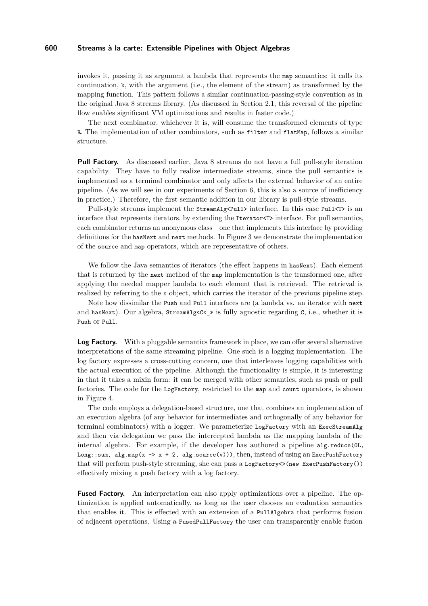invokes it, passing it as argument a lambda that represents the map semantics: it calls its continuation, k, with the argument (i.e., the element of the stream) as transformed by the mapping function. This pattern follows a similar continuation-passing-style convention as in the original Java 8 streams library. (As discussed in Section [2.1,](#page-2-2) this reversal of the pipeline flow enables significant VM optimizations and results in faster code.)

The next combinator, whichever it is, will consume the transformed elements of type R. The implementation of other combinators, such as filter and flatMap, follows a similar structure.

**Pull Factory.** As discussed earlier, Java 8 streams do not have a full pull-style iteration capability. They have to fully realize intermediate streams, since the pull semantics is implemented as a terminal combinator and only affects the external behavior of an entire pipeline. (As we will see in our experiments of Section [6,](#page-14-0) this is also a source of inefficiency in practice.) Therefore, the first semantic addition in our library is pull-style streams.

Pull-style streams implement the StreamAlg<Pull> interface. In this case Pull<T> is an interface that represents iterators, by extending the Iterator<T> interface. For pull semantics, each combinator returns an anonymous class – one that implements this interface by providing definitions for the hasNext and next methods. In Figure [3](#page-10-0) we demonstrate the implementation of the source and map operators, which are representative of others.

We follow the Java semantics of iterators (the effect happens in hasNext). Each element that is returned by the next method of the map implementation is the transformed one, after applying the needed mapper lambda to each element that is retrieved. The retrieval is realized by referring to the s object, which carries the iterator of the previous pipeline step.

Note how dissimilar the Push and Pull interfaces are (a lambda vs. an iterator with next and hasNext). Our algebra,  $\text{StreamAlgCC}_\geq$  is fully agnostic regarding C, i.e., whether it is Push or Pull.

**Log Factory.** With a pluggable semantics framework in place, we can offer several alternative interpretations of the same streaming pipeline. One such is a logging implementation. The log factory expresses a cross-cutting concern, one that interleaves logging capabilities with the actual execution of the pipeline. Although the functionality is simple, it is interesting in that it takes a mixin form: it can be merged with other semantics, such as push or pull factories. The code for the LogFactory, restricted to the map and count operators, is shown in Figure [4.](#page-11-1)

The code employs a delegation-based structure, one that combines an implementation of an execution algebra (of any behavior for intermediates and orthogonally of any behavior for terminal combinators) with a logger. We parameterize LogFactory with an ExecStreamAlg and then via delegation we pass the intercepted lambda as the mapping lambda of the internal algebra. For example, if the developer has authored a pipeline alg.reduce(0L, Long::sum, alg.map(x -> x + 2, alg.source(v))), then, instead of using an ExecPushFactory that will perform push-style streaming, she can pass a LogFactory $\langle \rangle$  (new ExecPushFactory()) effectively mixing a push factory with a log factory.

**Fused Factory.** An interpretation can also apply optimizations over a pipeline. The optimization is applied automatically, as long as the user chooses an evaluation semantics that enables it. This is effected with an extension of a PullAlgebra that performs fusion of adjacent operations. Using a FusedPullFactory the user can transparently enable fusion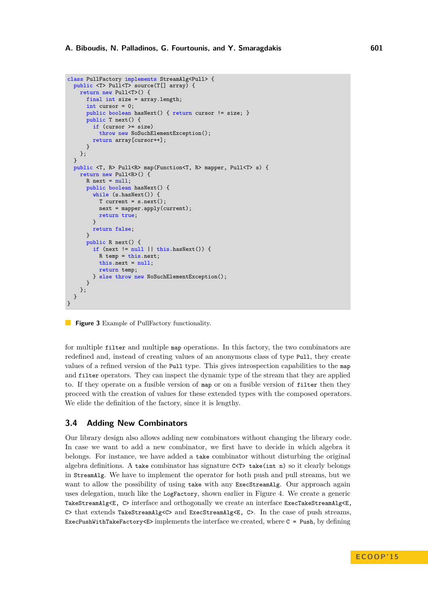```
class PullFactory implements StreamAlg<Pull> {
  public <T> Pull<T> source(T[] array) {
    return new Pull<T>() {
      final int size = array.length;
      int cursor = 0;
      public boolean hasNext() { return cursor != size; }
      public T next() {
        if (cursor >= size)
          throw new NoSuchElementException();
        return array[cursor++];
      }
    };
  }
  public <T, R> Pull<R> map(Function<T, R> mapper, Pull<T> s) {
    return new Pull<R>() {
      R next = null;public boolean hasNext() {
        while (s \text{.hasNext.}() ) {
          T current = s.next();
          next = mapper.apply(current);
          return true;
        }
        return false;
      }
      public R next() {
        if (next != null \vert\vert this.hasNext()) {
          R temp = this.next;
          this.next = null;
          return temp;
        } else throw new NoSuchElementException();
      }
    };
 }
}
```
**Figure 3** Example of PullFactory functionality.

for multiple filter and multiple map operations. In this factory, the two combinators are redefined and, instead of creating values of an anonymous class of type Pull, they create values of a refined version of the Pull type. This gives introspection capabilities to the map and filter operators. They can inspect the dynamic type of the stream that they are applied to. If they operate on a fusible version of map or on a fusible version of filter then they proceed with the creation of values for these extended types with the composed operators. We elide the definition of the factory, since it is lengthy.

## **3.4 Adding New Combinators**

Our library design also allows adding new combinators without changing the library code. In case we want to add a new combinator, we first have to decide in which algebra it belongs. For instance, we have added a take combinator without disturbing the original algebra definitions. A take combinator has signature C<T> take(int n) so it clearly belongs in StreamAlg. We have to implement the operator for both push and pull streams, but we want to allow the possibility of using take with any ExecStreamAlg. Our approach again uses delegation, much like the LogFactory, shown earlier in Figure [4.](#page-11-1) We create a generic TakeStreamAlg<E, C> interface and orthogonally we create an interface ExecTakeStreamAlg<E, C> that extends TakeStreamAlg<C> and ExecStreamAlg<E, C>. In the case of push streams, ExecPushWithTakeFactory<E> implements the interface we created, where  $C = Push$ , by defining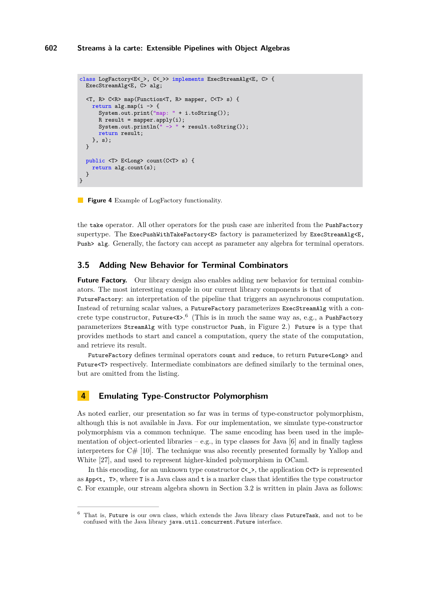```
class LogFactory<E< >, C< >> implements ExecStreamAlg<E, C> {
  ExecStreamAlg<E, C> alg;
  <T, R> C<R> map(Function<T, R> mapper, C<T> s) {
    return alg.map(i -> {
      System.out.print("map: " + i.toString());
      R result = mapper.apply(i);
      System.out.println("\rightarrow" + result.toString());
      return result;
    }, s);
  }
  public <T> E<Long> count(C<T> s) {
    return alg.count(s);
  }
}
```
**Figure 4** Example of LogFactory functionality.

the take operator. All other operators for the push case are inherited from the PushFactory supertype. The ExecPushWithTakeFactory<E> factory is parameterized by ExecStreamAlg<E, Push> alg. Generally, the factory can accept as parameter any algebra for terminal operators.

## **3.5 Adding New Behavior for Terminal Combinators**

**Future Factory.** Our library design also enables adding new behavior for terminal combinators. The most interesting example in our current library components is that of FutureFactory: an interpretation of the pipeline that triggers an asynchronous computation. Instead of returning scalar values, a FutureFactory parameterizes ExecStreamAlg with a concrete type constructor, Future $\langle x \rangle$ . (This is in much the same way as, e.g., a PushFactory parameterizes StreamAlg with type constructor Push, in Figure [2.](#page-8-0)) Future is a type that provides methods to start and cancel a computation, query the state of the computation, and retrieve its result.

FutureFactory defines terminal operators count and reduce, to return Future<Long> and Future<T> respectively. Intermediate combinators are defined similarly to the terminal ones, but are omitted from the listing.

## <span id="page-11-0"></span>**4 Emulating Type-Constructor Polymorphism**

As noted earlier, our presentation so far was in terms of type-constructor polymorphism, although this is not available in Java. For our implementation, we simulate type-constructor polymorphism via a common technique. The same encoding has been used in the implementation of object-oriented libraries – e.g., in type classes for Java  $[6]$  and in finally tagless interpreters for  $C\#$  [\[10\]](#page-21-6). The technique was also recently presented formally by Yallop and White [\[27\]](#page-22-3), and used to represent higher-kinded polymorphism in OCaml.

In this encoding, for an unknown type constructor  $C \leq \Sigma$ , the application  $C \leq T$  is represented as  $App<\tau$ , T, where T is a Java class and  $\tau$  is a marker class that identifies the type constructor C. For example, our stream algebra shown in Section [3.2](#page-7-1) is written in plain Java as follows:

<span id="page-11-2"></span><sup>6</sup> That is, Future is our own class, which extends the Java library class FutureTask, and not to be confused with the Java library java.util.concurrent.Future interface.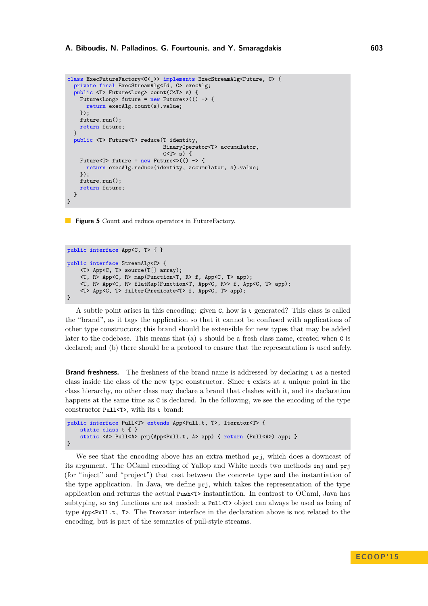```
class ExecFutureFactory<C< >> implements ExecStreamAlg<Future, C> {
  private final ExecStreamAlg<Id, C> execAlg;
  public <T> Future<Long> count(C<T> s) {
    Future<Long> future = new Future<>(() -> {
      return execAlg.count(s).value;
    });
    future.run();
    return future;
  }
  public <T> Future<T> reduce(T identity,
                               BinaryOperator<T> accumulator,
                               C<T> s) {
    Future<T> future = new Future<\langle() -> {
      return execAlg.reduce(identity, accumulator, s).value;
    \}):
    future.run();
    return future;
  }
}
```
**Figure 5** Count and reduce operators in FutureFactory.

```
public interface App<C, T> { }
public interface StreamAlg<C> {
    <T> App<C, T> source(T[] array);
    <T, R> App<C, R> map(Function<T, R> f, App<C, T> app);
    <T, R> App<C, R> flatMap(Function<T, App<C, R>> f, App<C, T> app);
    <T> App<C, T> filter(Predicate<T> f, App<C, T> app);
}
```
A subtle point arises in this encoding: given C, how is t generated? This class is called the "brand", as it tags the application so that it cannot be confused with applications of other type constructors; this brand should be extensible for new types that may be added later to the codebase. This means that (a)  $t$  should be a fresh class name, created when  $\sigma$  is declared; and (b) there should be a protocol to ensure that the representation is used safely.

**Brand freshness.** The freshness of the brand name is addressed by declaring t as a nested class inside the class of the new type constructor. Since t exists at a unique point in the class hierarchy, no other class may declare a brand that clashes with it, and its declaration happens at the same time as  $\sigma$  is declared. In the following, we see the encoding of the type constructor Pull<T>, with its t brand:

```
public interface Pull<T> extends App<Pull.t, T>, Iterator<T> {
    static class t { }
    static <A> Pull<A> prj(App<Pull.t, A> app) { return (Pull<A>) app; }
}
```
We see that the encoding above has an extra method  $\text{prj}$ , which does a downcast of its argument. The OCaml encoding of Yallop and White needs two methods inj and prj (for "inject" and "project") that cast between the concrete type and the instantiation of the type application. In Java, we define prj, which takes the representation of the type application and returns the actual Push<T> instantiation. In contrast to OCaml, Java has subtyping, so inj functions are not needed: a Pull<T> object can always be used as being of type App<Pull.t, T>. The Iterator interface in the declaration above is not related to the encoding, but is part of the semantics of pull-style streams.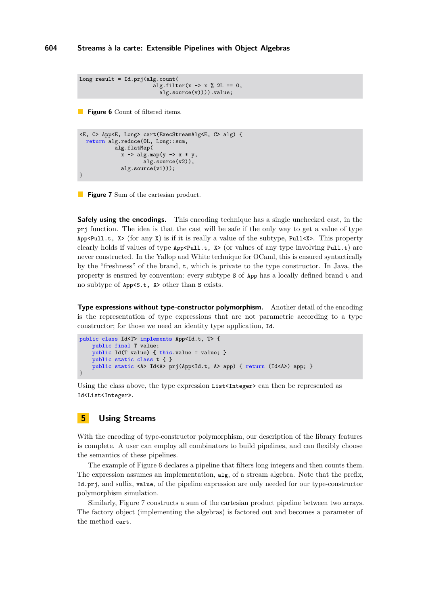```
Long result = Id.prj(alg.count(alg.filter(x -> x \frac{9}{6} 2L == 0.
                            alg.source(v)))).value;
```
**Figure 6** Count of filtered items.

```
<E, C> App<E, Long> cart(ExecStreamAlg<E, C> alg) {
  return alg.reduce(0L, Long::sum,
            alg.flatMap(
              x \rightarrow algmap(y \rightarrow x * y,alg.source(v2)),
              alg.source(v1)));
}
```
**Figure 7** Sum of the cartesian product.

**Safely using the encodings.** This encoding technique has a single unchecked cast, in the prj function. The idea is that the cast will be safe if the only way to get a value of type App<Pull.t,  $X$  (for any  $X$ ) is if it is really a value of the subtype, Pull  $X$ ). This property clearly holds if values of type  $App *Pull.t*, *X* > (or values of any type involving *Pull.t*) are$ never constructed. In the Yallop and White technique for OCaml, this is ensured syntactically by the "freshness" of the brand, t, which is private to the type constructor. In Java, the property is ensured by convention: every subtype S of App has a locally defined brand t and no subtype of App<S.t, X> other than S exists.

**Type expressions without type-constructor polymorphism.** Another detail of the encoding is the representation of type expressions that are not parametric according to a type constructor; for those we need an identity type application, Id.

```
public class Id<T> implements App<Id.t, T> {
    public final T value;
    public Id(T value) { this.value = value; }
    public static class t { }
    public static <A> Id<A> prj(App<Id.t, A> app) { return (Id<A>) app; }
}
```
Using the class above, the type expression  $List\text{Integer}$  can then be represented as Id<List<Integer».

## **5 Using Streams**

With the encoding of type-constructor polymorphism, our description of the library features is complete. A user can employ all combinators to build pipelines, and can flexibly choose the semantics of these pipelines.

The example of Figure [6](#page-13-0) declares a pipeline that filters long integers and then counts them. The expression assumes an implementation, alg, of a stream algebra. Note that the prefix, Id.prj, and suffix, value, of the pipeline expression are only needed for our type-constructor polymorphism simulation.

Similarly, Figure [7](#page-13-1) constructs a sum of the cartesian product pipeline between two arrays. The factory object (implementing the algebras) is factored out and becomes a parameter of the method cart.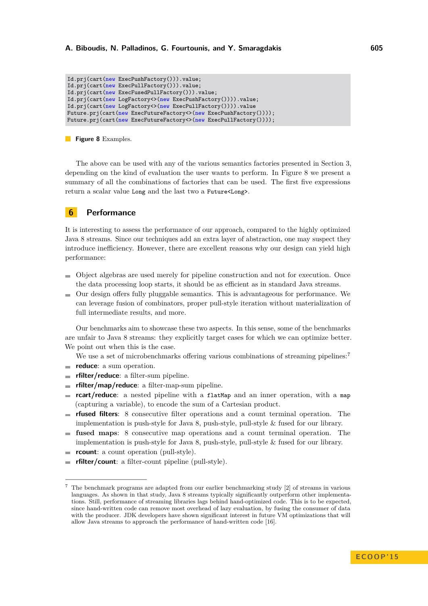```
Id.prj(cart(new ExecPushFactory())).value;
Id.prj(cart(new ExecPullFactory())).value;
Id.prj(cart(new ExecFusedPullFactory())).value;
Id.prj(cart(new LogFactory<>(new ExecPushFactory()))).value;
Id.prj(cart(new LogFactory<>(new ExecPullFactory()))).value
Future.prj(cart(new ExecFutureFactory<>(new ExecPushFactory())));
Future.prj(cart(new ExecFutureFactory<>(new ExecPullFactory())));
```
#### **Figure 8** Examples.

The above can be used with any of the various semantics factories presented in Section [3,](#page-5-0) depending on the kind of evaluation the user wants to perform. In Figure [8](#page-14-1) we present a summary of all the combinations of factories that can be used. The first five expressions return a scalar value Long and the last two a Future<Long>.

## <span id="page-14-0"></span>**6 Performance**

It is interesting to assess the performance of our approach, compared to the highly optimized Java 8 streams. Since our techniques add an extra layer of abstraction, one may suspect they introduce inefficiency. However, there are excellent reasons why our design can yield high performance:

- Object algebras are used merely for pipeline construction and not for execution. Once the data processing loop starts, it should be as efficient as in standard Java streams.
- $\blacksquare$  Our design offers fully pluggable semantics. This is advantageous for performance. We can leverage fusion of combinators, proper pull-style iteration without materialization of full intermediate results, and more.

Our benchmarks aim to showcase these two aspects. In this sense, some of the benchmarks are unfair to Java 8 streams: they explicitly target cases for which we can optimize better. We point out when this is the case.

We use a set of microbenchmarks offering various combinations of streaming pipelines:<sup>[7](#page-14-2)</sup>

- **reduce**: a sum operation.
- **rfilter/reduce**: a filter-sum pipeline.  $\overline{a}$
- $\equiv$ **rfilter/map/reduce**: a filter-map-sum pipeline.
- **rcart/reduce**: a nested pipeline with a flatMap and an inner operation, with a map (capturing a variable), to encode the sum of a Cartesian product.
- **rfused filters**: 8 consecutive filter operations and a count terminal operation. The  $\rightarrow$ implementation is push-style for Java 8, push-style, pull-style & fused for our library.
- **fused maps**: 8 consecutive map operations and a count terminal operation. The  $\sim$ implementation is push-style for Java 8, push-style, pull-style & fused for our library.
- **rcount**: a count operation (pull-style).
- **rfilter/count**: a filter-count pipeline (pull-style).

<span id="page-14-2"></span><sup>7</sup> The benchmark programs are adapted from our earlier benchmarking study [\[2\]](#page-21-0) of streams in various languages. As shown in that study, Java 8 streams typically significantly outperform other implementations. Still, performance of streaming libraries lags behind hand-optimized code. This is to be expected, since hand-written code can remove most overhead of lazy evaluation, by fusing the consumer of data with the producer. JDK developers have shown significant interest in future VM optimizations that will allow Java streams to approach the performance of hand-written code [\[16\]](#page-22-4).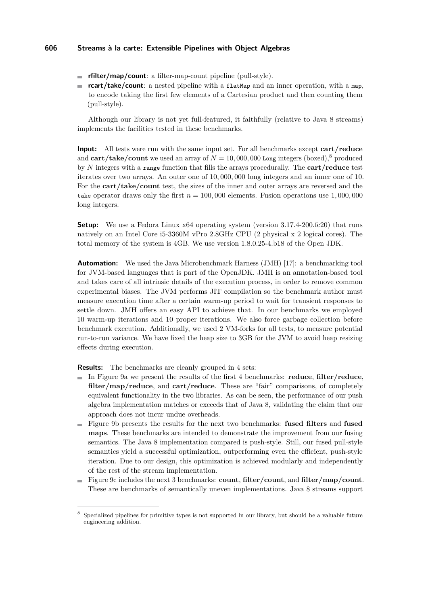- **rfilter/map/count**: a filter-map-count pipeline (pull-style).
- **rcart/take/count**: a nested pipeline with a flatMap and an inner operation, with a map, to encode taking the first few elements of a Cartesian product and then counting them (pull-style).

Although our library is not yet full-featured, it faithfully (relative to Java 8 streams) implements the facilities tested in these benchmarks.

**Input:** All tests were run with the same input set. For all benchmarks except **cart/reduce** and  $\text{cart}/\text{take}/\text{count}$  we used an array of  $N = 10,000,000$  Long integers (boxed),<sup>[8](#page-15-0)</sup> produced by *N* integers with a range function that fills the arrays procedurally. The **cart/reduce** test iterates over two arrays. An outer one of 10*,* 000*,* 000 long integers and an inner one of 10. For the **cart/take/count** test, the sizes of the inner and outer arrays are reversed and the take operator draws only the first  $n = 100,000$  elements. Fusion operations use  $1,000,000$ long integers.

**Setup:** We use a Fedora Linux x64 operating system (version 3.17.4-200.fc20) that runs natively on an Intel Core i5-3360M vPro 2.8GHz CPU (2 physical x 2 logical cores). The total memory of the system is 4GB. We use version 1.8.0.25-4.b18 of the Open JDK.

**Automation:** We used the Java Microbenchmark Harness (JMH) [\[17\]](#page-22-5): a benchmarking tool for JVM-based languages that is part of the OpenJDK. JMH is an annotation-based tool and takes care of all intrinsic details of the execution process, in order to remove common experimental biases. The JVM performs JIT compilation so the benchmark author must measure execution time after a certain warm-up period to wait for transient responses to settle down. JMH offers an easy API to achieve that. In our benchmarks we employed 10 warm-up iterations and 10 proper iterations. We also force garbage collection before benchmark execution. Additionally, we used 2 VM-forks for all tests, to measure potential run-to-run variance. We have fixed the heap size to 3GB for the JVM to avoid heap resizing effects during execution.

**Results:** The benchmarks are cleanly grouped in 4 sets:

- In Figure [9a](#page-16-0) we present the results of the first 4 benchmarks: **reduce**, **filter/reduce**, **filter/map/reduce**, and **cart/reduce**. These are "fair" comparisons, of completely equivalent functionality in the two libraries. As can be seen, the performance of our push algebra implementation matches or exceeds that of Java 8, validating the claim that our approach does not incur undue overheads.
- Figure [9b](#page-16-1) presents the results for the next two benchmarks: **fused filters** and **fused maps**. These benchmarks are intended to demonstrate the improvement from our fusing semantics. The Java 8 implementation compared is push-style. Still, our fused pull-style semantics yield a successful optimization, outperforming even the efficient, push-style iteration. Due to our design, this optimization is achieved modularly and independently of the rest of the stream implementation.
- Figure [9c](#page-16-2) includes the next 3 benchmarks: **count**, **filter/count**, and **filter/map/count**. These are benchmarks of semantically uneven implementations. Java 8 streams support

<span id="page-15-0"></span><sup>8</sup> Specialized pipelines for primitive types is not supported in our library, but should be a valuable future engineering addition.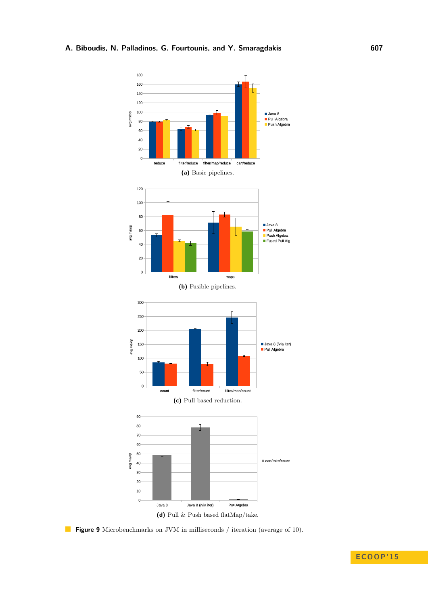<span id="page-16-2"></span><span id="page-16-1"></span><span id="page-16-0"></span>

<span id="page-16-3"></span>**Figure 9** Microbenchmarks on JVM in milliseconds / iteration (average of 10).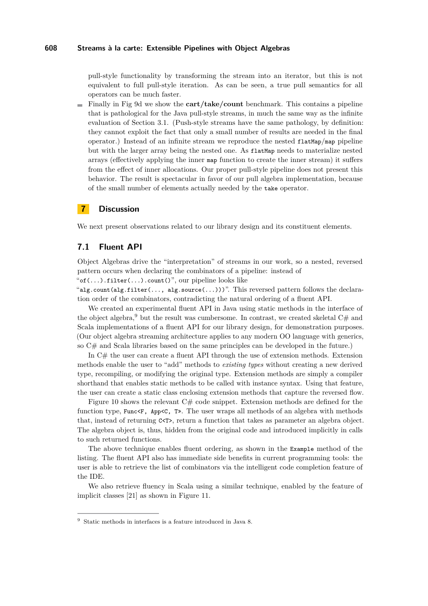pull-style functionality by transforming the stream into an iterator, but this is not equivalent to full pull-style iteration. As can be seen, a true pull semantics for all operators can be much faster.

Finally in Fig [9d](#page-16-3) we show the **cart/take/count** benchmark. This contains a pipeline that is pathological for the Java pull-style streams, in much the same way as the infinite evaluation of Section [3.1.](#page-6-2) (Push-style streams have the same pathology, by definition: they cannot exploit the fact that only a small number of results are needed in the final operator.) Instead of an infinite stream we reproduce the nested flatMap/map pipeline but with the larger array being the nested one. As flatMap needs to materialize nested arrays (effectively applying the inner map function to create the inner stream) it suffers from the effect of inner allocations. Our proper pull-style pipeline does not present this behavior. The result is spectacular in favor of our pull algebra implementation, because of the small number of elements actually needed by the take operator.

## **7 Discussion**

We next present observations related to our library design and its constituent elements.

## **7.1 Fluent API**

Object Algebras drive the "interpretation" of streams in our work, so a nested, reversed pattern occurs when declaring the combinators of a pipeline: instead of

" $of(...).filter(...).count()$ ", our pipeline looks like

"alg.count(alg.filter(..., alg.source(...)))". This reversed pattern follows the declaration order of the combinators, contradicting the natural ordering of a fluent API.

We created an experimental fluent API in Java using static methods in the interface of the object algebra,<sup>[9](#page-17-0)</sup> but the result was cumbersome. In contrast, we created skeletal C# and Scala implementations of a fluent API for our library design, for demonstration purposes. (Our object algebra streaming architecture applies to any modern OO language with generics, so C# and Scala libraries based on the same principles can be developed in the future.)

In C# the user can create a fluent API through the use of extension methods. Extension methods enable the user to "add" methods to *existing types* without creating a new derived type, recompiling, or modifying the original type. Extension methods are simply a compiler shorthand that enables static methods to be called with instance syntax. Using that feature, the user can create a static class enclosing extension methods that capture the reversed flow.

Figure [10](#page-18-0) shows the relevant C# code snippet. Extension methods are defined for the function type, Func $\leq$ F, App $\leq$ C, T». The user wraps all methods of an algebra with methods that, instead of returning C<T>, return a function that takes as parameter an algebra object. The algebra object is, thus, hidden from the original code and introduced implicitly in calls to such returned functions.

The above technique enables fluent ordering, as shown in the Example method of the listing. The fluent API also has immediate side benefits in current programming tools: the user is able to retrieve the list of combinators via the intelligent code completion feature of the IDE.

We also retrieve fluency in Scala using a similar technique, enabled by the feature of implicit classes [\[21\]](#page-22-6) as shown in Figure [11.](#page-19-0)

<span id="page-17-0"></span><sup>9</sup> Static methods in interfaces is a feature introduced in Java 8.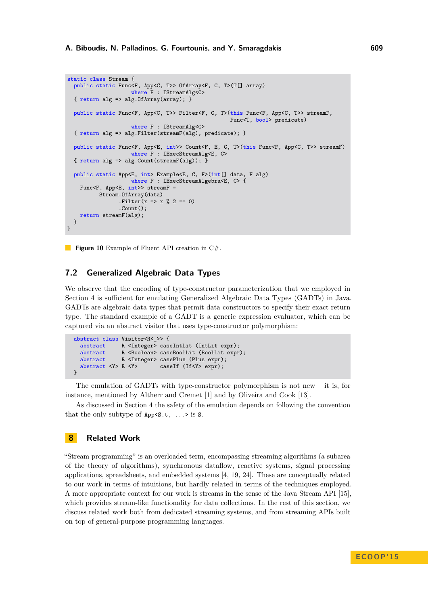```
static class Stream {
  public static Func<F, App<C, T>> OfArray<F, C, T>(T[] array)
                    where F : IStreamAlg<C>
  { return alg => alg.OfArray(array); }
  public static Func<F, App<C, T>> Filter<F, C, T>(this Func<F, App<C, T>> streamF,
                                                   Func<T, bool> predicate)
                    where F : IStreamAlg<C>
  { return alg => alg.Filter(streamF(alg), predicate); }
  public static Func<F, App<E, int>> Count<F, E, C, T>(this Func<F, App<C, T>> streamF)
                    where F : IExecStreamAlg<E, C>
  { return alg => alg.Count(streamF(alg)); }
  public static App<E, int> Example<E, C, F>(int[] data, F alg)
                    where F : IExecStreamAlgebra<E, C> {
    Func<F, App<E, int>> streamF =
          Stream.OfArray(data)
                .Filter(x => x % 2 == 0)
                .Count();
    return streamF(alg);
  }
}
```
**Figure 10** Example of Fluent API creation in C#.

## **7.2 Generalized Algebraic Data Types**

We observe that the encoding of type-constructor parameterization that we employed in Section [4](#page-11-0) is sufficient for emulating Generalized Algebraic Data Types (GADTs) in Java. GADTs are algebraic data types that permit data constructors to specify their exact return type. The standard example of a GADT is a generic expression evaluator, which can be captured via an abstract visitor that uses type-constructor polymorphism:

```
abstract class Visitor<R<_>> {
  abstract R <Integer> caseIntLit (IntLit expr);
  abstract R <Boolean> caseBoolLit (BoolLit expr);
  abstract R <Integer> casePlus (Plus expr);<br>abstract <Y> R <Y> caseIf (If<Y> expr):
                              caseIf (If<Y> expr);
}
```
The emulation of GADTs with type-constructor polymorphism is not new – it is, for instance, mentioned by Altherr and Cremet [\[1\]](#page-21-7) and by Oliveira and Cook [\[13\]](#page-21-1).

As discussed in Section [4](#page-11-0) the safety of the emulation depends on following the convention that the only subtype of  $App < S.t$ , ...> is S.

# **8 Related Work**

"Stream programming" is an overloaded term, encompassing streaming algorithms (a subarea of the theory of algorithms), synchronous dataflow, reactive systems, signal processing applications, spreadsheets, and embedded systems [\[4,](#page-21-8) [19,](#page-22-7) [24\]](#page-22-8). These are conceptually related to our work in terms of intuitions, but hardly related in terms of the techniques employed. A more appropriate context for our work is streams in the sense of the Java Stream API [\[15\]](#page-22-9), which provides stream-like functionality for data collections. In the rest of this section, we discuss related work both from dedicated streaming systems, and from streaming APIs built on top of general-purpose programming languages.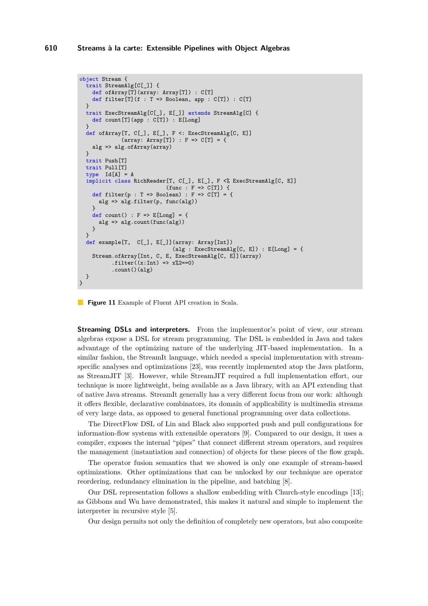```
object Stream {
  trait StreamAlg[C[_]] {
    def ofArray[T](array: Array[T]) : C[T]
    def filter[T](f : T => Boolean, app : C[T]) : C[T]\left| \right|trait ExecStreamAlg[C[_], E[_]] extends StreamAlg[C] {
    def count[T](app : C[T]) : E[Long]
  }
  def ofArray[T, C[_], E[_], F <: ExecStreamAlg[C, E]]
               (\text{array: Array}[T]) : F \Rightarrow C[T] = \{alg => alg.ofArray(array)
  }
  trait Push[T]
  trait Pull[T]
  type Id[A] = Aimplicit class RichReader[T, C[_], E[_], F <% ExecStreamAlg[C, E]]
                              (func : F \Rightarrow C[T]) {
    def filter(p : T => Boolean) : F => C[T] = \{alg => alg.filter(p, func(alg))
     }
    def count() : F \Rightarrow E[Long] = \{alg => alg.count(func(alg))
    }
  }
  def example[T, C[_], E[_]](array: Array[Int])
                                (alg : ExecStreamAlg[C, E]) : E[Long] = {Stream.ofArray[Int, C, E, ExecStreamAlg[C, E]](array)
           .filter((x:Int) \Rightarrow x\frac{0}{2}=-0)
           .count()(alg)
  }
}
```
**Figure 11** Example of Fluent API creation in Scala.

**Streaming DSLs and interpreters.** From the implementor's point of view, our stream algebras expose a DSL for stream programming. The DSL is embedded in Java and takes advantage of the optimizing nature of the underlying JIT-based implementation. In a similar fashion, the StreamIt language, which needed a special implementation with streamspecific analyses and optimizations [\[23\]](#page-22-10), was recently implemented atop the Java platform, as StreamJIT [\[3\]](#page-21-9). However, while StreamJIT required a full implementation effort, our technique is more lightweight, being available as a Java library, with an API extending that of native Java streams. StreamIt generally has a very different focus from our work: although it offers flexible, declarative combinators, its domain of applicability is multimedia streams of very large data, as opposed to general functional programming over data collections.

The DirectFlow DSL of Lin and Black also supported push and pull configurations for information-flow systems with extensible operators [\[9\]](#page-21-10). Compared to our design, it uses a compiler, exposes the internal "pipes" that connect different stream operators, and requires the management (instantiation and connection) of objects for these pieces of the flow graph.

The operator fusion semantics that we showed is only one example of stream-based optimizations. Other optimizations that can be unlocked by our technique are operator reordering, redundancy elimination in the pipeline, and batching [\[8\]](#page-21-11).

Our DSL representation follows a shallow embedding with Church-style encodings [\[13\]](#page-21-1); as Gibbons and Wu have demonstrated, this makes it natural and simple to implement the interpreter in recursive style [\[5\]](#page-21-12).

Our design permits not only the definition of completely new operators, but also composite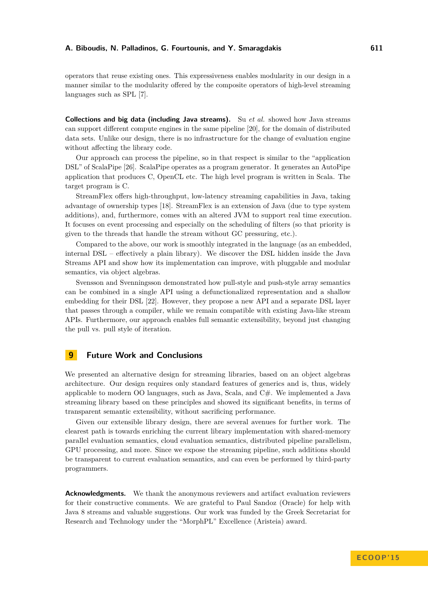#### **A. Biboudis, N. Palladinos, G. Fourtounis, and Y. Smaragdakis 611**

operators that reuse existing ones. This expressiveness enables modularity in our design in a manner similar to the modularity offered by the composite operators of high-level streaming languages such as SPL [\[7\]](#page-21-13).

**Collections and big data (including Java streams).** Su *et al.* showed how Java streams can support different compute engines in the same pipeline [\[20\]](#page-22-11), for the domain of distributed data sets. Unlike our design, there is no infrastructure for the change of evaluation engine without affecting the library code.

Our approach can process the pipeline, so in that respect is similar to the "application DSL" of ScalaPipe [\[26\]](#page-22-12). ScalaPipe operates as a program generator. It generates an AutoPipe application that produces C, OpenCL etc. The high level program is written in Scala. The target program is C.

StreamFlex offers high-throughput, low-latency streaming capabilities in Java, taking advantage of ownership types [\[18\]](#page-22-13). StreamFlex is an extension of Java (due to type system additions), and, furthermore, comes with an altered JVM to support real time execution. It focuses on event processing and especially on the scheduling of filters (so that priority is given to the threads that handle the stream without GC pressuring, etc.).

Compared to the above, our work is smoothly integrated in the language (as an embedded, internal DSL – effectively a plain library). We discover the DSL hidden inside the Java Streams API and show how its implementation can improve, with pluggable and modular semantics, via object algebras.

Svensson and Svenningsson demonstrated how pull-style and push-style array semantics can be combined in a single API using a defunctionalized representation and a shallow embedding for their DSL [\[22\]](#page-22-1). However, they propose a new API and a separate DSL layer that passes through a compiler, while we remain compatible with existing Java-like stream APIs. Furthermore, our approach enables full semantic extensibility, beyond just changing the pull vs. pull style of iteration.

## **9 Future Work and Conclusions**

We presented an alternative design for streaming libraries, based on an object algebras architecture. Our design requires only standard features of generics and is, thus, widely applicable to modern OO languages, such as Java, Scala, and C#. We implemented a Java streaming library based on these principles and showed its significant benefits, in terms of transparent semantic extensibility, without sacrificing performance.

Given our extensible library design, there are several avenues for further work. The clearest path is towards enriching the current library implementation with shared-memory parallel evaluation semantics, cloud evaluation semantics, distributed pipeline parallelism, GPU processing, and more. Since we expose the streaming pipeline, such additions should be transparent to current evaluation semantics, and can even be performed by third-party programmers.

**Acknowledgments.** We thank the anonymous reviewers and artifact evaluation reviewers for their constructive comments. We are grateful to Paul Sandoz (Oracle) for help with Java 8 streams and valuable suggestions. Our work was funded by the Greek Secretariat for Research and Technology under the "MorphPL" Excellence (Aristeia) award.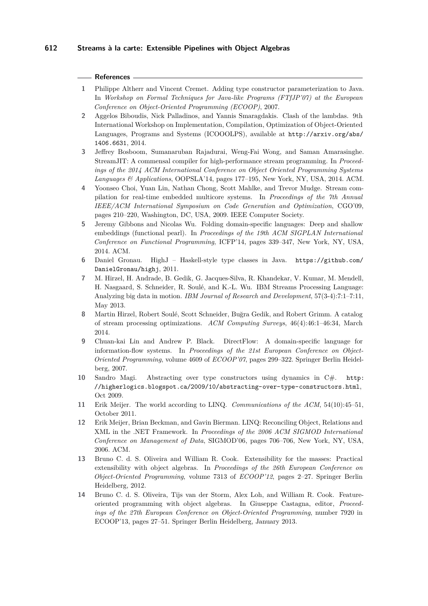#### **References**

- <span id="page-21-7"></span>**1** Philippe Altherr and Vincent Cremet. Adding type constructor parameterization to Java. In *Workshop on Formal Techniques for Java-like Programs (FTfJP'07) at the European Conference on Object-Oriented Programming (ECOOP)*, 2007.
- <span id="page-21-0"></span>**2** Aggelos Biboudis, Nick Palladinos, and Yannis Smaragdakis. Clash of the lambdas. 9th International Workshop on Implementation, Compilation, Optimization of Object-Oriented Languages, Programs and Systems (ICOOOLPS), available at [http://arxiv.org/abs/](http://arxiv.org/abs/1406.6631) [1406.6631](http://arxiv.org/abs/1406.6631), 2014.
- <span id="page-21-9"></span>**3** Jeffrey Bosboom, Sumanaruban Rajadurai, Weng-Fai Wong, and Saman Amarasinghe. StreamJIT: A commensal compiler for high-performance stream programming. In *Proceedings of the 2014 ACM International Conference on Object Oriented Programming Systems Languages & Applications*, OOPSLA'14, pages 177–195, New York, NY, USA, 2014. ACM.
- <span id="page-21-8"></span>**4** Yoonseo Choi, Yuan Lin, Nathan Chong, Scott Mahlke, and Trevor Mudge. Stream compilation for real-time embedded multicore systems. In *Proceedings of the 7th Annual IEEE/ACM International Symposium on Code Generation and Optimization*, CGO'09, pages 210–220, Washington, DC, USA, 2009. IEEE Computer Society.
- <span id="page-21-12"></span>**5** Jeremy Gibbons and Nicolas Wu. Folding domain-specific languages: Deep and shallow embeddings (functional pearl). In *Proceedings of the 19th ACM SIGPLAN International Conference on Functional Programming*, ICFP'14, pages 339–347, New York, NY, USA, 2014. ACM.
- <span id="page-21-5"></span>**6** Daniel Gronau. HighJ – Haskell-style type classes in Java. [https://github.com/](https://github.com/DanielGronau/highj) [DanielGronau/highj](https://github.com/DanielGronau/highj), 2011.
- <span id="page-21-13"></span>**7** M. Hirzel, H. Andrade, B. Gedik, G. Jacques-Silva, R. Khandekar, V. Kumar, M. Mendell, H. Nasgaard, S. Schneider, R. Soulé, and K.-L. Wu. IBM Streams Processing Language: Analyzing big data in motion. *IBM Journal of Research and Development*, 57(3-4):7:1–7:11, May 2013.
- <span id="page-21-11"></span>**8** Martin Hirzel, Robert Soulé, Scott Schneider, Buğra Gedik, and Robert Grimm. A catalog of stream processing optimizations. *ACM Computing Surveys*, 46(4):46:1–46:34, March 2014.
- <span id="page-21-10"></span>**9** Chuan-kai Lin and Andrew P. Black. DirectFlow: A domain-specific language for information-flow systems. In *Proceedings of the 21st European Conference on Object-Oriented Programming*, volume 4609 of *ECOOP'07*, pages 299–322. Springer Berlin Heidelberg, 2007.
- <span id="page-21-6"></span>**10** Sandro Magi. Abstracting over type constructors using dynamics in C#. [http:](http://higherlogics.blogspot.ca/2009/10/abstracting-over-type-constructors.html) [//higherlogics.blogspot.ca/2009/10/abstracting-over-type-constructors.html](http://higherlogics.blogspot.ca/2009/10/abstracting-over-type-constructors.html), Oct 2009.
- <span id="page-21-4"></span>**11** Erik Meijer. The world according to LINQ. *Communications of the ACM*, 54(10):45–51, October 2011.
- <span id="page-21-3"></span>**12** Erik Meijer, Brian Beckman, and Gavin Bierman. LINQ: Reconciling Object, Relations and XML in the .NET Framework. In *Proceedings of the 2006 ACM SIGMOD International Conference on Management of Data*, SIGMOD'06, pages 706–706, New York, NY, USA, 2006. ACM.
- <span id="page-21-1"></span>**13** Bruno C. d. S. Oliveira and William R. Cook. Extensibility for the masses: Practical extensibility with object algebras. In *Proceedings of the 26th European Conference on Object-Oriented Programming*, volume 7313 of *ECOOP'12*, pages 2–27. Springer Berlin Heidelberg, 2012.
- <span id="page-21-2"></span>**14** Bruno C. d. S. Oliveira, Tijs van der Storm, Alex Loh, and William R. Cook. Featureoriented programming with object algebras. In Giuseppe Castagna, editor, *Proceedings of the 27th European Conference on Object-Oriented Programming*, number 7920 in ECOOP'13, pages 27–51. Springer Berlin Heidelberg, January 2013.